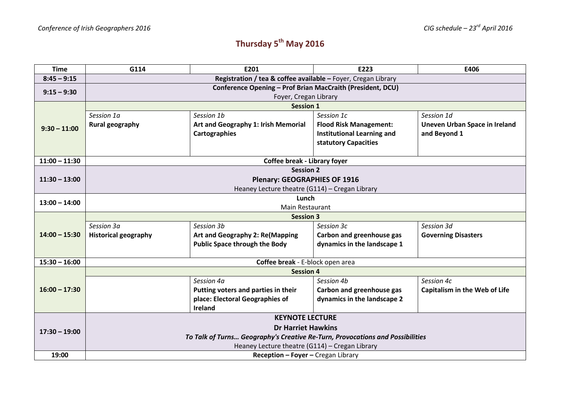## **Thursday 5th May 2016**

| <b>Time</b>     | G114                                                                          | E201                                   | E223                              | E406                                 |  |  |
|-----------------|-------------------------------------------------------------------------------|----------------------------------------|-----------------------------------|--------------------------------------|--|--|
| $8:45 - 9:15$   | Registration / tea & coffee available - Foyer, Cregan Library                 |                                        |                                   |                                      |  |  |
| $9:15 - 9:30$   | Conference Opening - Prof Brian MacCraith (President, DCU)                    |                                        |                                   |                                      |  |  |
|                 | Foyer, Cregan Library                                                         |                                        |                                   |                                      |  |  |
| $9:30 - 11:00$  | <b>Session 1</b>                                                              |                                        |                                   |                                      |  |  |
|                 | Session 1a                                                                    | Session 1b                             | Session 1c                        | Session 1d                           |  |  |
|                 | <b>Rural geography</b>                                                        | Art and Geography 1: Irish Memorial    | <b>Flood Risk Management:</b>     | Uneven Urban Space in Ireland        |  |  |
|                 |                                                                               | <b>Cartographies</b>                   | <b>Institutional Learning and</b> | and Beyond 1                         |  |  |
|                 |                                                                               |                                        | statutory Capacities              |                                      |  |  |
| $11:00 - 11:30$ | Coffee break - Library foyer                                                  |                                        |                                   |                                      |  |  |
| $11:30 - 13:00$ | <b>Session 2</b>                                                              |                                        |                                   |                                      |  |  |
|                 | <b>Plenary: GEOGRAPHIES OF 1916</b>                                           |                                        |                                   |                                      |  |  |
|                 | Heaney Lecture theatre (G114) - Cregan Library                                |                                        |                                   |                                      |  |  |
| $13:00 - 14:00$ |                                                                               | Lunch                                  |                                   |                                      |  |  |
|                 | <b>Main Restaurant</b>                                                        |                                        |                                   |                                      |  |  |
|                 | <b>Session 3</b>                                                              |                                        |                                   |                                      |  |  |
|                 | Session 3a                                                                    | Session 3b                             | Session 3c                        | Session 3d                           |  |  |
| $14:00 - 15:30$ | <b>Historical geography</b>                                                   | <b>Art and Geography 2: Re(Mapping</b> | Carbon and greenhouse gas         | <b>Governing Disasters</b>           |  |  |
|                 |                                                                               | <b>Public Space through the Body</b>   | dynamics in the landscape 1       |                                      |  |  |
| $15:30 - 16:00$ | Coffee break - E-block open area                                              |                                        |                                   |                                      |  |  |
|                 | <b>Session 4</b>                                                              |                                        |                                   |                                      |  |  |
|                 |                                                                               | Session 4a                             | Session 4b                        | Session 4c                           |  |  |
| $16:00 - 17:30$ |                                                                               | Putting voters and parties in their    | Carbon and greenhouse gas         | <b>Capitalism in the Web of Life</b> |  |  |
|                 |                                                                               | place: Electoral Geographies of        | dynamics in the landscape 2       |                                      |  |  |
|                 |                                                                               | <b>Ireland</b>                         |                                   |                                      |  |  |
| $17:30 - 19:00$ | <b>KEYNOTE LECTURE</b>                                                        |                                        |                                   |                                      |  |  |
|                 | <b>Dr Harriet Hawkins</b>                                                     |                                        |                                   |                                      |  |  |
|                 | To Talk of Turns Geography's Creative Re-Turn, Provocations and Possibilities |                                        |                                   |                                      |  |  |
|                 | Heaney Lecture theatre (G114) - Cregan Library                                |                                        |                                   |                                      |  |  |
| 19:00           | Reception - Foyer - Cregan Library                                            |                                        |                                   |                                      |  |  |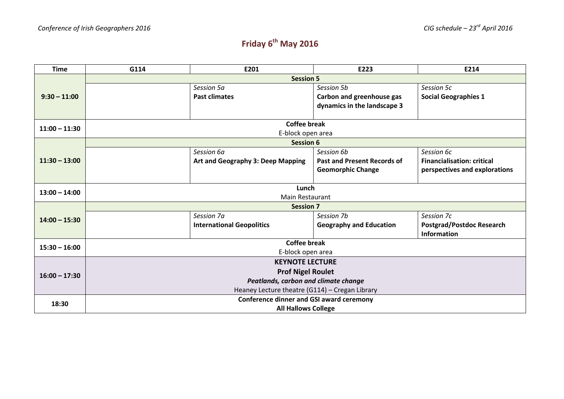## **Friday 6th May 2016**

| <b>Time</b>     | G114                                            | E201                              | E223                               | E214                              |  |  |
|-----------------|-------------------------------------------------|-----------------------------------|------------------------------------|-----------------------------------|--|--|
|                 | <b>Session 5</b>                                |                                   |                                    |                                   |  |  |
| $9:30 - 11:00$  |                                                 | Session 5a                        | Session 5b                         | Session 5c                        |  |  |
|                 |                                                 | <b>Past climates</b>              | Carbon and greenhouse gas          | <b>Social Geographies 1</b>       |  |  |
|                 |                                                 |                                   | dynamics in the landscape 3        |                                   |  |  |
|                 |                                                 |                                   |                                    |                                   |  |  |
| $11:00 - 11:30$ | <b>Coffee break</b>                             |                                   |                                    |                                   |  |  |
|                 | E-block open area                               |                                   |                                    |                                   |  |  |
| $11:30 - 13:00$ | <b>Session 6</b>                                |                                   |                                    |                                   |  |  |
|                 |                                                 | Session 6a                        | Session 6b                         | Session 6c                        |  |  |
|                 |                                                 | Art and Geography 3: Deep Mapping | <b>Past and Present Records of</b> | <b>Financialisation: critical</b> |  |  |
|                 |                                                 |                                   | <b>Geomorphic Change</b>           | perspectives and explorations     |  |  |
|                 |                                                 |                                   |                                    |                                   |  |  |
| $13:00 - 14:00$ | Lunch                                           |                                   |                                    |                                   |  |  |
|                 | <b>Main Restaurant</b>                          |                                   |                                    |                                   |  |  |
|                 | <b>Session 7</b>                                |                                   |                                    |                                   |  |  |
| $14:00 - 15:30$ |                                                 | Session 7a                        | Session 7b                         | Session 7c                        |  |  |
|                 |                                                 | <b>International Geopolitics</b>  | <b>Geography and Education</b>     | <b>Postgrad/Postdoc Research</b>  |  |  |
|                 |                                                 |                                   |                                    | Information                       |  |  |
| $15:30 - 16:00$ | <b>Coffee break</b>                             |                                   |                                    |                                   |  |  |
|                 | E-block open area                               |                                   |                                    |                                   |  |  |
|                 | <b>KEYNOTE LECTURE</b>                          |                                   |                                    |                                   |  |  |
| $16:00 - 17:30$ | <b>Prof Nigel Roulet</b>                        |                                   |                                    |                                   |  |  |
|                 | Peatlands, carbon and climate change            |                                   |                                    |                                   |  |  |
|                 | Heaney Lecture theatre (G114) - Cregan Library  |                                   |                                    |                                   |  |  |
| 18:30           | <b>Conference dinner and GSI award ceremony</b> |                                   |                                    |                                   |  |  |
|                 | <b>All Hallows College</b>                      |                                   |                                    |                                   |  |  |